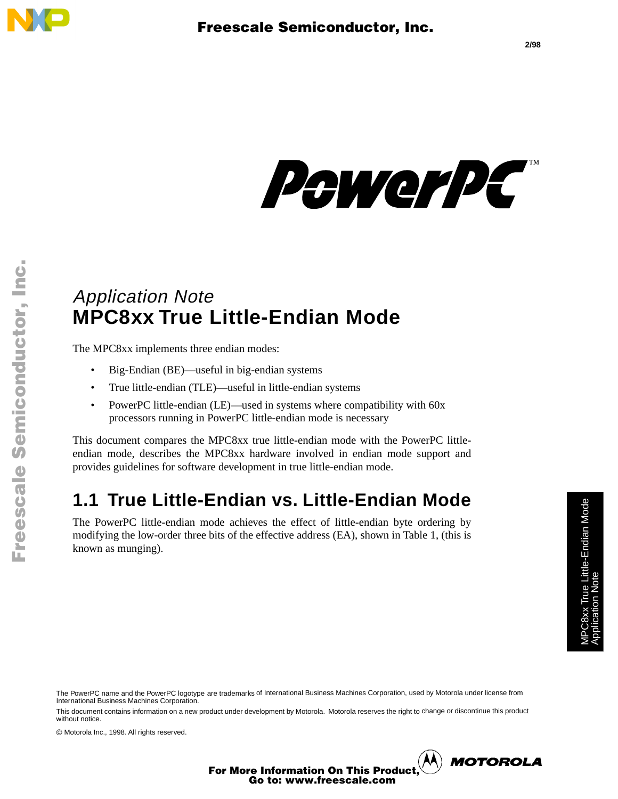

Fr  $\bigcirc$  $\bf \Phi$  $\boldsymbol{0}$  $\mathbf 0$ 

ale

 $\bm{U}$  $\bf \Phi$ 

mic

o  $\blacksquare$ d u  $\mathbf 0$ t o

r, I

 $\blacksquare$ 

.<br>ق



## Application Note **MPC8xx True Little-Endian Mode**

The MPC8xx implements three endian modes:

- Big-Endian (BE)—useful in big-endian systems
- True little-endian (TLE)—useful in little-endian systems
- PowerPC little-endian (LE)—used in systems where compatibility with 60x processors running in PowerPC little-endian mode is necessary

This document compares the MPC8xx true little-endian mode with the PowerPC littleendian mode, describes the MPC8xx hardware involved in endian mode support and provides guidelines for software development in true little-endian mode.

## **1.1 True Little-Endian vs. Little-Endian Mode**

The PowerPC little-endian mode achieves the effect of little-endian byte ordering by modifying the low-order three bits of the effective address (EA), shown in Table 1, (this is known as munging).

This document contains information on a new product under development by Motorola. Motorola reserves the right to change or discontinue this product without notice.

© Motorola Inc., 1998. All rights reserved.

**2/98**

**MOTOROLA** 

For More Information On This Product, Go to: www.freescale.com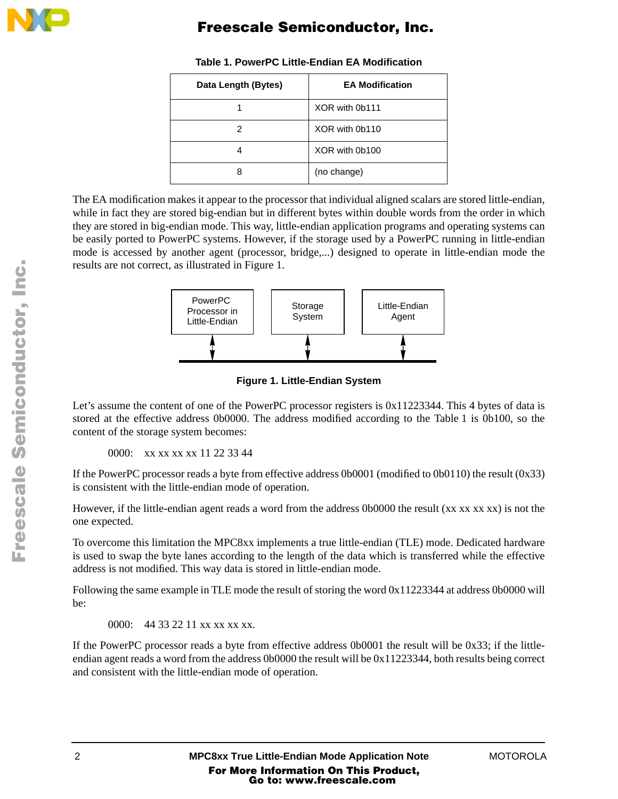

| Data Length (Bytes) | <b>EA Modification</b> |
|---------------------|------------------------|
|                     | XOR with 0b111         |
| 2                   | XOR with 0b110         |
| 4                   | XOR with 0b100         |
| 8                   | (no change)            |

#### **Table 1. PowerPC Little-Endian EA Modification**

The EA modification makes it appear to the processor that individual aligned scalars are stored little-endian, while in fact they are stored big-endian but in different bytes within double words from the order in which they are stored in big-endian mode. This way, little-endian application programs and operating systems can be easily ported to PowerPC systems. However, if the storage used by a PowerPC running in little-endian mode is accessed by another agent (processor, bridge,...) designed to operate in little-endian mode the results are not correct, as illustrated in Figure 1.



**Figure 1. Little-Endian System**

Let's assume the content of one of the PowerPC processor registers is 0x11223344. This 4 bytes of data is stored at the effective address 0b0000. The address modified according to the Table 1 is 0b100, so the content of the storage system becomes:

0000: xx xx xx xx 11 22 33 44

If the PowerPC processor reads a byte from effective address 0b0001 (modified to 0b0110) the result (0x33) is consistent with the little-endian mode of operation.

However, if the little-endian agent reads a word from the address 0b0000 the result (xx xx xx xx) is not the one expected.

To overcome this limitation the MPC8xx implements a true little-endian (TLE) mode. Dedicated hardware is used to swap the byte lanes according to the length of the data which is transferred while the effective address is not modified. This way data is stored in little-endian mode.

Following the same example in TLE mode the result of storing the word 0x11223344 at address 0b0000 will be:

0000: 44 33 22 11 xx xx xx xx.

If the PowerPC processor reads a byte from effective address 0b0001 the result will be 0x33; if the littleendian agent reads a word from the address 0b0000 the result will be 0x11223344, both results being correct and consistent with the little-endian mode of operation.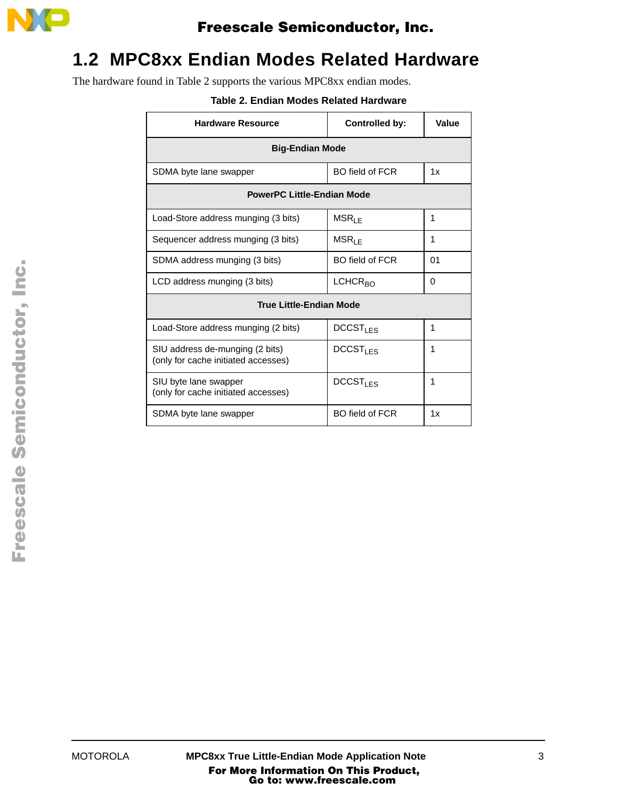

## **1.2 MPC8xx Endian Modes Related Hardware**

The hardware found in Table 2 supports the various MPC8xx endian modes.

#### **Table 2. Endian Modes Related Hardware**

| <b>Hardware Resource</b>                                               | <b>Controlled by:</b>      | Value |
|------------------------------------------------------------------------|----------------------------|-------|
| <b>Big-Endian Mode</b>                                                 |                            |       |
| SDMA byte lane swapper                                                 | BO field of FCR            | 1x    |
| <b>PowerPC Little-Endian Mode</b>                                      |                            |       |
| Load-Store address munging (3 bits)                                    | $MSR_{LE}$                 | 1     |
| Sequencer address munging (3 bits)                                     | $MSR_{LE}$                 | 1     |
| SDMA address munging (3 bits)                                          | <b>BO field of FCR</b>     | 01    |
| LCD address munging (3 bits)                                           | LCHCR <sub>BO</sub>        | 0     |
| <b>True Little-Endian Mode</b>                                         |                            |       |
| Load-Store address munging (2 bits)                                    | <b>DCCST<sub>LES</sub></b> | 1     |
| SIU address de-munging (2 bits)<br>(only for cache initiated accesses) | <b>DCCST<sub>LES</sub></b> | 1     |
| SIU byte lane swapper<br>(only for cache initiated accesses)           | DCCST <sub>LES</sub>       | 1     |
| SDMA byte lane swapper                                                 | <b>BO field of FCR</b>     | 1x    |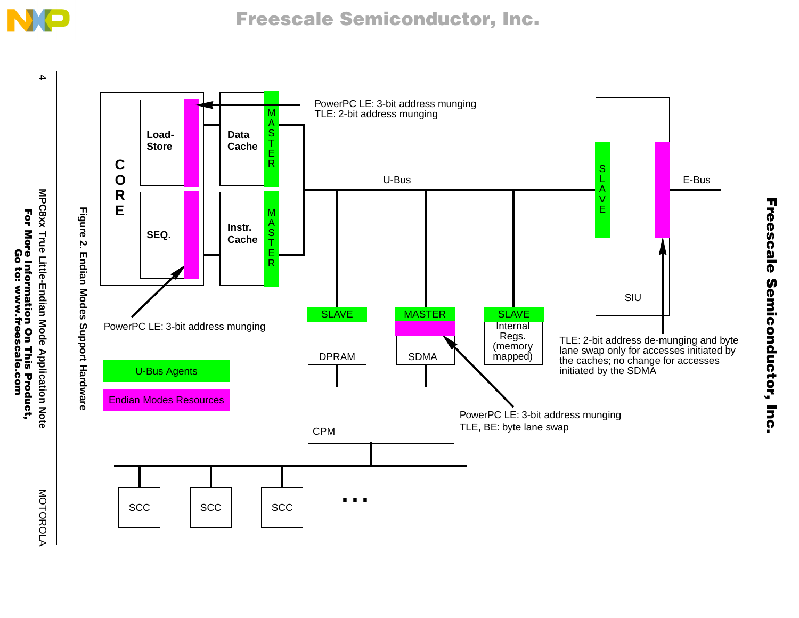

4

PowerPC LE: 3-bit address munging MTLE: 2-bit address munging A S**Load-Data**T**StoreCache** E**C** RS**O** LU-Bus E-Bus E-Bus E-Bus E-Bus E-Bus E-Bus E-Bus E-Bus E-Bus E-Bus E-Bus E-Bus E-Bus E-Bus E-Bus E-Bus E-Bus E- A**R** V E **E**Figure 2. **Figure 2. Endian Modes Support Hardware** M A S **Instr. SEQ. Cache**T EEndian Modes Support Hardware RSIUSLAVE MASTER SLAVE PowerPC LE: 3-bit address munging Internal Regs. TLE: 2-bit address de-munging and byte (memory lane swap only for accesses initiated by DPRAM SDMA mapped) the caches; no change for accesses U-Bus Agents initiated by the SDMA Endian Modes Resources PowerPC LE: 3-bit address munging TLE, BE: byte lane swap CPM... $\sec$   $\sec$ SCC

MOTOROLA MOTOROLA

**MPC8xx True Little-Endian Mode Application Note**

MPC8xx True Little-Endian Mode Application Note

For

**More** 

Information

On

e Information On This Product,<br>Go to: www.freescale.com

This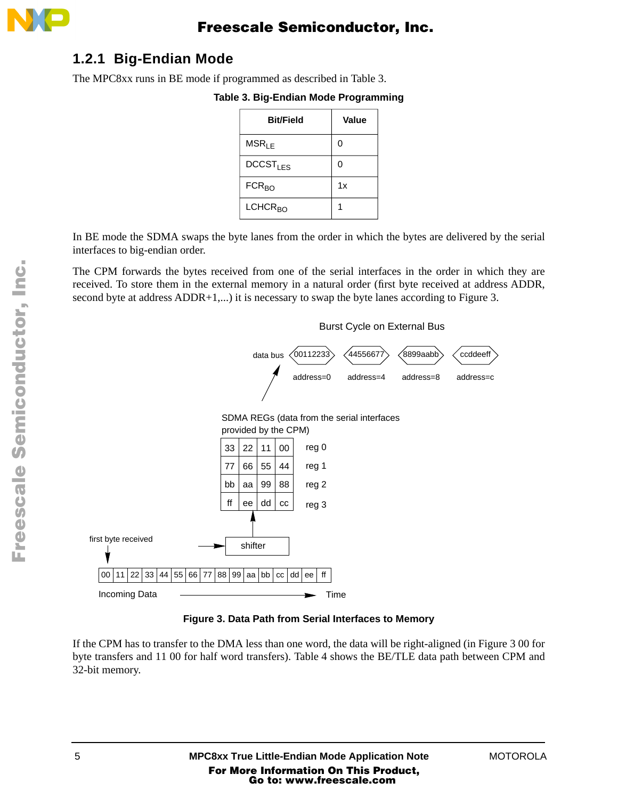

### **1.2.1 Big-Endian Mode**

The MPC8xx runs in BE mode if programmed as described in Table 3.

#### **Table 3. Big-Endian Mode Programming**

| <b>Bit/Field</b>     | Value |
|----------------------|-------|
| MSR <sub>LE</sub>    | 0     |
| DCCST <sub>LES</sub> | 0     |
| $FCR_{BO}$           | 1x    |
| LCHCR <sub>BO</sub>  |       |

In BE mode the SDMA swaps the byte lanes from the order in which the bytes are delivered by the serial interfaces to big-endian order.

The CPM forwards the bytes received from one of the serial interfaces in the order in which they are received. To store them in the external memory in a natural order (first byte received at address ADDR, second byte at address ADDR+1,...) it is necessary to swap the byte lanes according to Figure 3.



**Figure 3. Data Path from Serial Interfaces to Memory**

If the CPM has to transfer to the DMA less than one word, the data will be right-aligned (in Figure 3 00 for byte transfers and 11 00 for half word transfers). Table 4 shows the BE/TLE data path between CPM and 32-bit memory.

o  $\blacksquare$ d u  $\mathbf 0$ t o

r, I

 $\blacksquare$ 

.<br>ق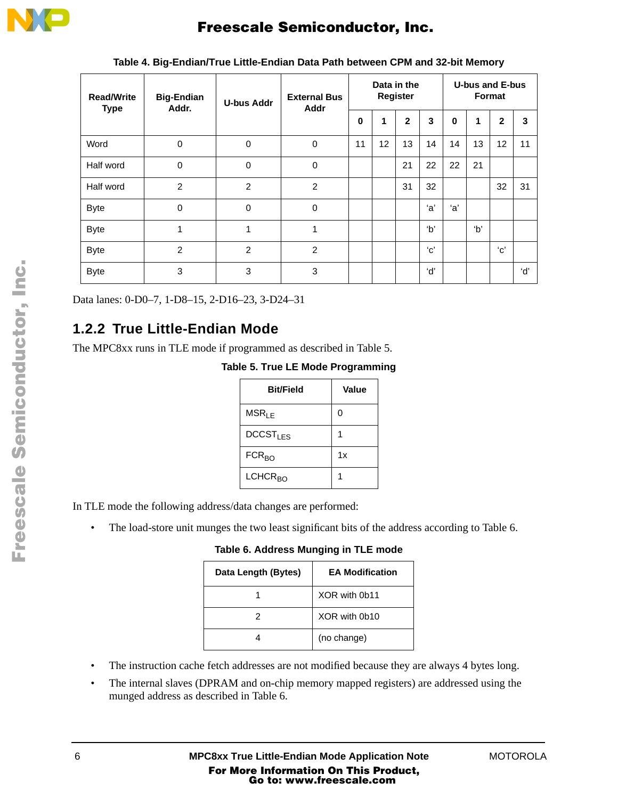

| <b>Read/Write</b><br><b>Type</b> | <b>Big-Endian</b><br>Addr. | <b>U-bus Addr</b> | <b>External Bus</b><br>Addr | Data in the<br>Register |             |              | <b>U-bus and E-bus</b><br>Format |    |    |               |     |
|----------------------------------|----------------------------|-------------------|-----------------------------|-------------------------|-------------|--------------|----------------------------------|----|----|---------------|-----|
|                                  |                            |                   |                             | $\mathbf 0$             | $\mathbf 1$ | $\mathbf{2}$ | 3                                | 0  | 1  | $\mathbf{2}$  | 3   |
| Word                             | $\mathbf 0$                | $\mathbf 0$       | 0                           | 11                      | 12          | 13           | 14                               | 14 | 13 | 12            | 11  |
| Half word                        | $\mathbf 0$                | $\mathbf 0$       | 0                           |                         |             | 21           | 22                               | 22 | 21 |               |     |
| Half word                        | $\overline{2}$             | $\overline{2}$    | $\overline{2}$              |                         |             | 31           | 32                               |    |    | 32            | 31  |
| <b>Byte</b>                      | $\mathbf 0$                | $\Omega$          | 0                           |                         |             |              | ʻa'                              | a' |    |               |     |
| <b>Byte</b>                      | 1                          | 1                 | 1                           |                         |             |              | b'                               |    | b' |               |     |
| <b>Byte</b>                      | $\overline{2}$             | $\overline{2}$    | $\overline{2}$              |                         |             |              | 'с'                              |    |    | $^{\circ}$ c' |     |
| <b>Byte</b>                      | 3                          | 3                 | 3                           |                         |             |              | ʻdʻ                              |    |    |               | ʻd' |

**Table 4. Big-Endian/True Little-Endian Data Path between CPM and 32-bit Memory**

Data lanes: 0-D0–7, 1-D8–15, 2-D16–23, 3-D24–31

### **1.2.2 True Little-Endian Mode**

The MPC8xx runs in TLE mode if programmed as described in Table 5.

**Table 5. True LE Mode Programming**

| <b>Bit/Field</b>        | Value |
|-------------------------|-------|
| MSR <sub>LE</sub>       | 0     |
| DCCST <sub>LES</sub>    |       |
| <b>FCR<sub>BO</sub></b> | 1x    |
| LCHCR <sub>BO</sub>     |       |

In TLE mode the following address/data changes are performed:

• The load-store unit munges the two least significant bits of the address according to Table 6.

**Table 6. Address Munging in TLE mode**

| Data Length (Bytes) | <b>EA Modification</b> |
|---------------------|------------------------|
|                     | XOR with 0b11          |
| 2                   | XOR with 0b10          |
|                     | (no change)            |

- The instruction cache fetch addresses are not modified because they are always 4 bytes long.
- The internal slaves (DPRAM and on-chip memory mapped registers) are addressed using the munged address as described in Table 6.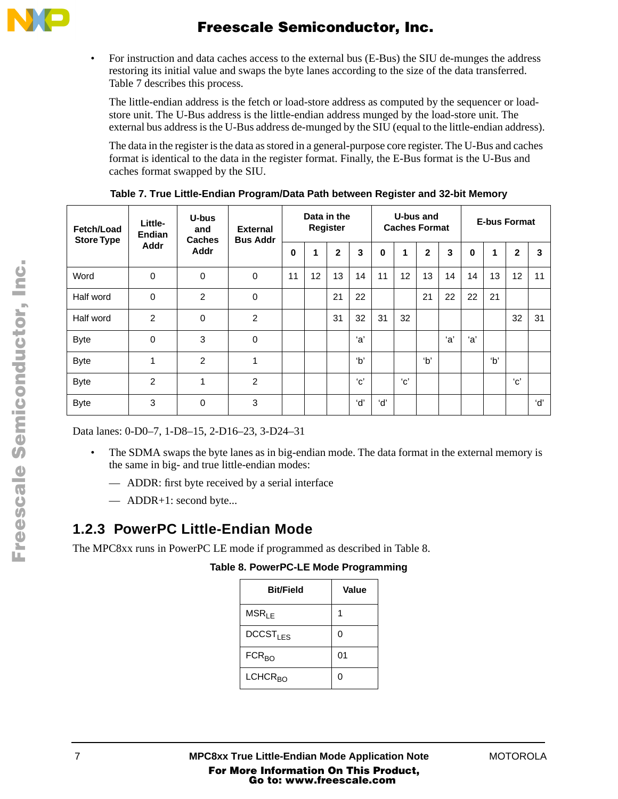

• For instruction and data caches access to the external bus (E-Bus) the SIU de-munges the address restoring its initial value and swaps the byte lanes according to the size of the data transferred. Table 7 describes this process.

The little-endian address is the fetch or load-store address as computed by the sequencer or loadstore unit. The U-Bus address is the little-endian address munged by the load-store unit. The external bus address is the U-Bus address de-munged by the SIU (equal to the little-endian address).

The data in the register is the data as stored in a general-purpose core register. The U-Bus and caches format is identical to the data in the register format. Finally, the E-Bus format is the U-Bus and caches format swapped by the SIU.

| Fetch/Load<br><b>Store Type</b> | U-bus<br>Little-<br>and<br><b>Endian</b> | <b>Caches</b> | <b>External</b><br><b>Bus Addr</b> |          | Data in the | Register     |     |          | U-bus and<br><b>Caches Format</b> |              |    |     | <b>E-bus Format</b> |              |     |
|---------------------------------|------------------------------------------|---------------|------------------------------------|----------|-------------|--------------|-----|----------|-----------------------------------|--------------|----|-----|---------------------|--------------|-----|
|                                 | <b>Addr</b>                              | Addr          |                                    | $\bf{0}$ | 1           | $\mathbf{2}$ | 3   | $\bf{0}$ | 1                                 | $\mathbf{2}$ | 3  | 0   | 1                   | $\mathbf{2}$ | 3   |
| Word                            | $\mathbf 0$                              | 0             | $\mathbf 0$                        | 11       | 12          | 13           | 14  | 11       | 12                                | 13           | 14 | 14  | 13                  | 12           | 11  |
| Half word                       | $\mathbf 0$                              | 2             | 0                                  |          |             | 21           | 22  |          |                                   | 21           | 22 | 22  | 21                  |              |     |
| Half word                       | $\mathcal{P}$                            | $\Omega$      | $\overline{2}$                     |          |             | 31           | 32  | 31       | 32                                |              |    |     |                     | 32           | 31  |
| <b>Byte</b>                     | $\Omega$                                 | 3             | $\Omega$                           |          |             |              | ʻa' |          |                                   |              | a' | ʻa' |                     |              |     |
| <b>Byte</b>                     | $\overline{\mathbf{A}}$                  | 2             | 1                                  |          |             |              | b'  |          |                                   | b'           |    |     | b'                  |              |     |
| <b>Byte</b>                     | $\mathcal{P}$                            | 4             | $\overline{2}$                     |          |             |              | 'с' |          | $^{\prime}$ C $^{\prime}$         |              |    |     |                     | 'с'          |     |
| <b>Byte</b>                     | 3                                        | $\Omega$      | 3                                  |          |             |              | ʻdʻ | ʻd'      |                                   |              |    |     |                     |              | ʻd' |

**Table 7. True Little-Endian Program/Data Path between Register and 32-bit Memory**

Data lanes: 0-D0–7, 1-D8–15, 2-D16–23, 3-D24–31

- The SDMA swaps the byte lanes as in big-endian mode. The data format in the external memory is the same in big- and true little-endian modes:
	- ADDR: first byte received by a serial interface
	- ADDR+1: second byte...

### **1.2.3 PowerPC Little-Endian Mode**

The MPC8xx runs in PowerPC LE mode if programmed as described in Table 8.

**Table 8. PowerPC-LE Mode Programming**

| <b>Bit/Field</b>     | Value          |
|----------------------|----------------|
| MSR <sub>LE</sub>    |                |
| DCCST <sub>1FS</sub> | 0              |
| FCR <sub>BO</sub>    | 0 <sub>1</sub> |
| LCHCR <sub>BO</sub>  | ი              |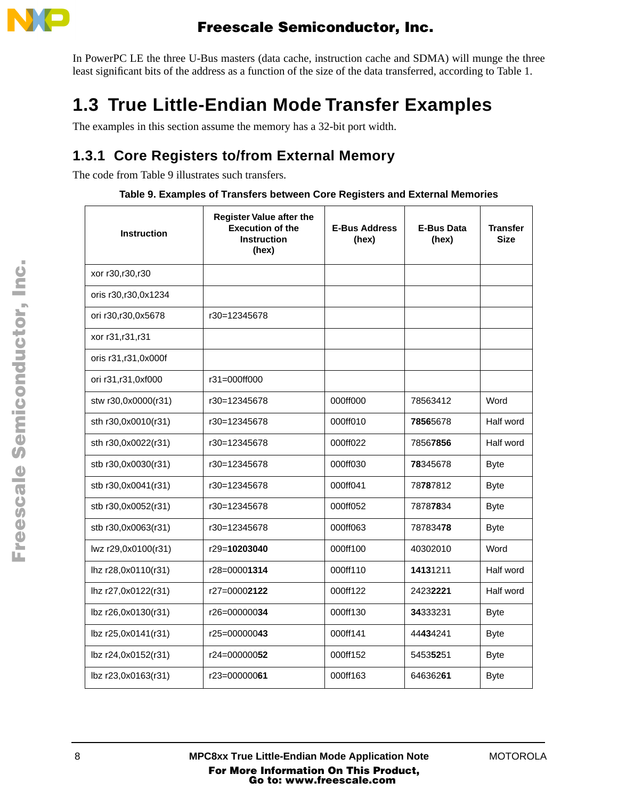

In PowerPC LE the three U-Bus masters (data cache, instruction cache and SDMA) will munge the three least significant bits of the address as a function of the size of the data transferred, according to Table 1.

# **1.3 True Little-Endian Mode Transfer Examples**

The examples in this section assume the memory has a 32-bit port width.

### **1.3.1 Core Registers to/from External Memory**

The code from Table 9 illustrates such transfers.

|  |  |  | Table 9. Examples of Transfers between Core Registers and External Memories |
|--|--|--|-----------------------------------------------------------------------------|
|--|--|--|-----------------------------------------------------------------------------|

| <b>Instruction</b>    | <b>Register Value after the</b><br><b>Execution of the</b><br><b>Instruction</b><br>(hex) | <b>E-Bus Address</b><br>(hex) | <b>E-Bus Data</b><br>(hex) | <b>Transfer</b><br><b>Size</b> |
|-----------------------|-------------------------------------------------------------------------------------------|-------------------------------|----------------------------|--------------------------------|
| xor r30, r30, r30     |                                                                                           |                               |                            |                                |
| oris r30, r30, 0x1234 |                                                                                           |                               |                            |                                |
| ori r30,r30,0x5678    | r30=12345678                                                                              |                               |                            |                                |
| xor r31, r31, r31     |                                                                                           |                               |                            |                                |
| oris r31,r31,0x000f   |                                                                                           |                               |                            |                                |
| ori r31, r31, 0xf000  | r31=000ff000                                                                              |                               |                            |                                |
| stw r30,0x0000(r31)   | r30=12345678                                                                              | 000ff000                      | 78563412                   | Word                           |
| sth r30,0x0010(r31)   | r30=12345678                                                                              | 000ff010                      | 78565678                   | Half word                      |
| sth r30,0x0022(r31)   | r30=12345678                                                                              | 000ff022                      | 78567856                   | Half word                      |
| stb r30,0x0030(r31)   | r30=12345678                                                                              | 000ff030                      | 78345678                   | <b>Byte</b>                    |
| stb r30,0x0041(r31)   | r30=12345678                                                                              | 000ff041                      | 78787812                   | <b>Byte</b>                    |
| stb r30,0x0052(r31)   | r30=12345678                                                                              | 000ff052                      | 78787834                   | <b>Byte</b>                    |
| stb r30,0x0063(r31)   | r30=12345678                                                                              | 000ff063                      | 78783478                   | <b>Byte</b>                    |
| lwz r29,0x0100(r31)   | r29=10203040                                                                              | 000ff100                      | 40302010                   | Word                           |
| lhz r28,0x0110(r31)   | r28=00001314                                                                              | 000ff110                      | 14131211                   | Half word                      |
| lhz r27,0x0122(r31)   | r27=00002122                                                                              | 000ff122                      | 24232221                   | Half word                      |
| lbz r26,0x0130(r31)   | r26=00000034                                                                              | 000ff130                      | 34333231                   | <b>Byte</b>                    |
| lbz r25,0x0141(r31)   | r25=00000043                                                                              | 000ff141                      | 44434241                   | <b>Byte</b>                    |
| lbz r24,0x0152(r31)   | r24=00000052                                                                              | 000ff152                      | 54535251                   | <b>Byte</b>                    |
| lbz r23,0x0163(r31)   | r23=00000061                                                                              | 000ff163                      | 64636261                   | <b>Byte</b>                    |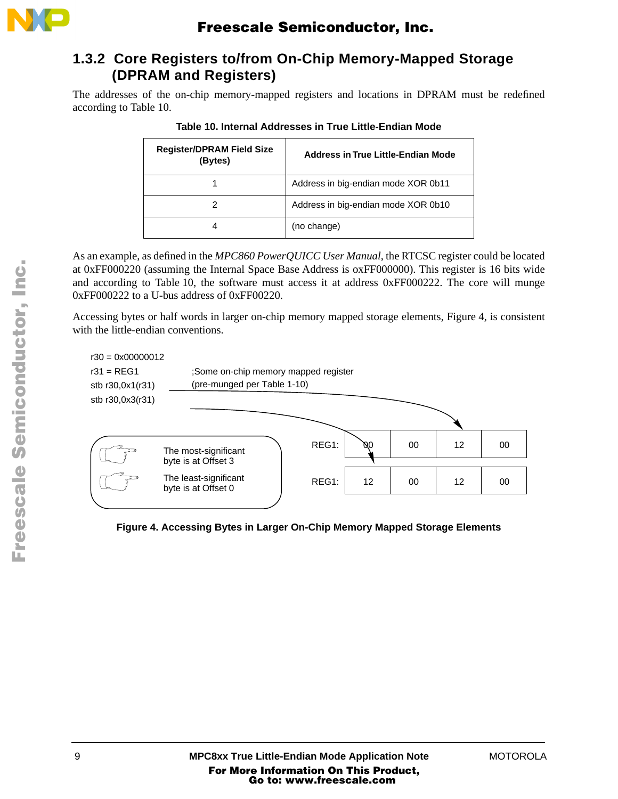

### **1.3.2 Core Registers to/from On-Chip Memory-Mapped Storage (DPRAM and Registers)**

The addresses of the on-chip memory-mapped registers and locations in DPRAM must be redefined according to Table 10.

| <b>Register/DPRAM Field Size</b><br>(Bytes) | Address in True Little-Endian Mode  |
|---------------------------------------------|-------------------------------------|
|                                             | Address in big-endian mode XOR 0b11 |
|                                             | Address in big-endian mode XOR 0b10 |
|                                             | (no change)                         |

As an example, as defined in the *MPC860 PowerQUICC User Manual*, the RTCSC register could be located at 0xFF000220 (assuming the Internal Space Base Address is oxFF000000). This register is 16 bits wide and according to Table 10, the software must access it at address 0xFF000222. The core will munge 0xFF000222 to a U-bus address of 0xFF00220.

Accessing bytes or half words in larger on-chip memory mapped storage elements, Figure 4, is consistent with the little-endian conventions.



**Figure 4. Accessing Bytes in Larger On-Chip Memory Mapped Storage Elements**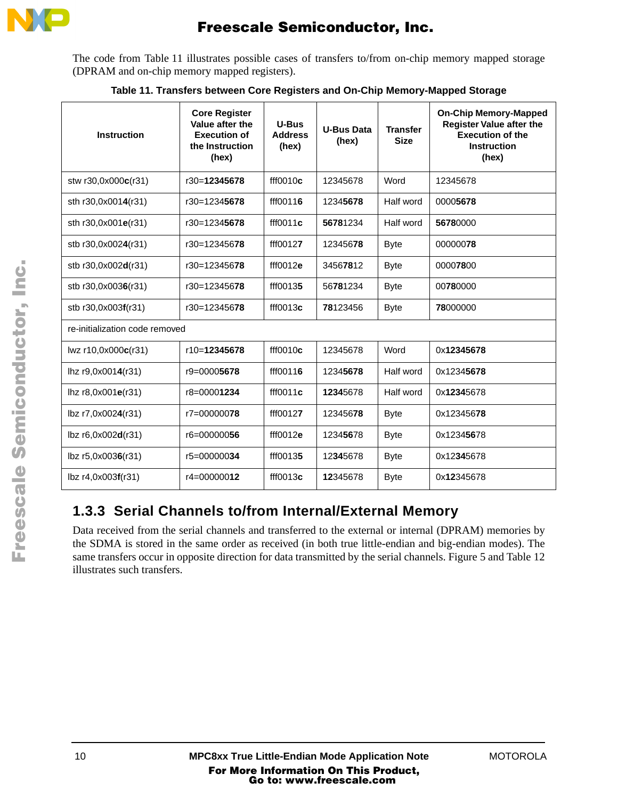

The code from Table 11 illustrates possible cases of transfers to/from on-chip memory mapped storage (DPRAM and on-chip memory mapped registers).

| <b>Instruction</b>             | <b>Core Register</b><br>Value after the<br><b>Execution of</b><br>the Instruction<br>(hex) | U-Bus<br><b>Address</b><br>(hex) | <b>U-Bus Data</b><br>(hex) | <b>Transfer</b><br><b>Size</b> | <b>On-Chip Memory-Mapped</b><br><b>Register Value after the</b><br><b>Execution of the</b><br><b>Instruction</b><br>(hex) |
|--------------------------------|--------------------------------------------------------------------------------------------|----------------------------------|----------------------------|--------------------------------|---------------------------------------------------------------------------------------------------------------------------|
| stw r30,0x000c(r31)            | r30=12345678                                                                               | ff10010c                         | 12345678                   | Word                           | 12345678                                                                                                                  |
| sth r30,0x0014(r31)            | r30=12345678                                                                               | fff00116                         | 12345678                   | Half word                      | 00005678                                                                                                                  |
| sth r30,0x001e(r31)            | r30=12345678                                                                               | ff10011c                         | 56781234                   | Half word                      | 56780000                                                                                                                  |
| stb r30,0x0024(r31)            | r30=12345678                                                                               | fff00127                         | 12345678                   | <b>Byte</b>                    | 00000078                                                                                                                  |
| stb r30,0x002d(r31)            | r30=12345678                                                                               | ff10012e                         | 34567812                   | <b>Byte</b>                    | 00007800                                                                                                                  |
| stb r30,0x0036(r31)            | r30=12345678                                                                               | fff00135                         | 56781234                   | <b>Byte</b>                    | 00780000                                                                                                                  |
| stb r30,0x003f(r31)            | r30=12345678                                                                               | ff10013c                         | 78123456                   | <b>Byte</b>                    | 78000000                                                                                                                  |
| re-initialization code removed |                                                                                            |                                  |                            |                                |                                                                                                                           |
| $Iwz$ r10,0x000 $c$ (r31)      | r10=12345678                                                                               | ff10010c                         | 12345678                   | Word                           | 0x12345678                                                                                                                |
| lhz r9,0x0014(r31)             | $r9 = 00005678$                                                                            | fff00116                         | 12345678                   | Half word                      | 0x12345678                                                                                                                |
| $\ln z$ r8,0x001e(r31)         | r8=00001234                                                                                | ff10011c                         | 12345678                   | Half word                      | 0x12345678                                                                                                                |
| lbz r7,0x0024(r31)             | r7=000000 <b>78</b>                                                                        | fff00127                         | 12345678                   | <b>Byte</b>                    | 0x12345678                                                                                                                |
| $lbz$ r6,0x002 $d(r31)$        | r6=00000056                                                                                | ff10012e                         | 12345678                   | <b>Byte</b>                    | 0x12345678                                                                                                                |
| lbz r5,0x0036(r31)             | r5=00000034                                                                                | fff00135                         | 12345678                   | <b>Byte</b>                    | 0x12345678                                                                                                                |
| lbz r4,0x003f(r31)             | r4=00000012                                                                                | ff10013c                         | 12345678                   | <b>Byte</b>                    | 0x12345678                                                                                                                |

**Table 11. Transfers between Core Registers and On-Chip Memory-Mapped Storage** 

### **1.3.3 Serial Channels to/from Internal/External Memory**

Data received from the serial channels and transferred to the external or internal (DPRAM) memories by the SDMA is stored in the same order as received (in both true little-endian and big-endian modes). The same transfers occur in opposite direction for data transmitted by the serial channels. Figure 5 and Table 12 illustrates such transfers.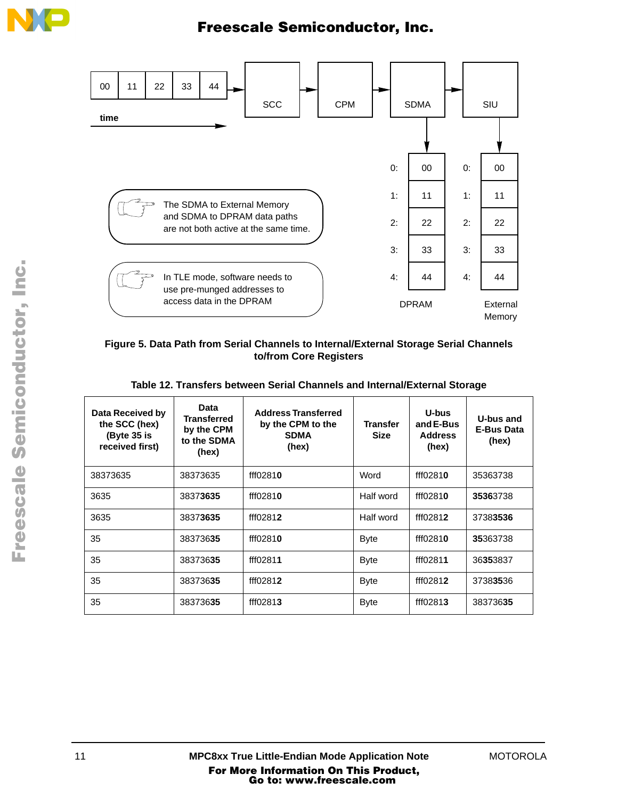



#### **Figure 5. Data Path from Serial Channels to Internal/External Storage Serial Channels to/from Core Registers**

|  |  |  | Table 12. Transfers between Serial Channels and Internal/External Storage |  |
|--|--|--|---------------------------------------------------------------------------|--|
|--|--|--|---------------------------------------------------------------------------|--|

| Data Received by<br>the SCC (hex)<br>(Byte 35 is<br>received first) | Data<br><b>Transferred</b><br>by the CPM<br>to the SDMA<br>(hex) | <b>Address Transferred</b><br>by the CPM to the<br><b>SDMA</b><br>(hex) | <b>Transfer</b><br>Size | U-bus<br>and E-Bus<br><b>Address</b><br>(hex) | U-bus and<br><b>E-Bus Data</b><br>(hex) |
|---------------------------------------------------------------------|------------------------------------------------------------------|-------------------------------------------------------------------------|-------------------------|-----------------------------------------------|-----------------------------------------|
| 38373635                                                            | 38373635                                                         | fff02810                                                                | Word                    | fff02810                                      | 35363738                                |
| 3635                                                                | 38373635                                                         | fff02810                                                                | Half word               | fff02810                                      | 35363738                                |
| 3635                                                                | 38373635                                                         | fff02812                                                                | Half word               | fff02812                                      | 37383536                                |
| 35                                                                  | 38373635                                                         | fff02810                                                                | <b>Byte</b>             | fff02810                                      | 35363738                                |
| 35                                                                  | 38373635                                                         | fff02811                                                                | <b>Byte</b>             | fff02811                                      | 36353837                                |
| 35                                                                  | 38373635                                                         | fff02812                                                                | <b>Byte</b>             | fff02812                                      | 37383536                                |
| 35                                                                  | 38373635                                                         | fff02813                                                                | <b>Byte</b>             | fff02813                                      | 38373635                                |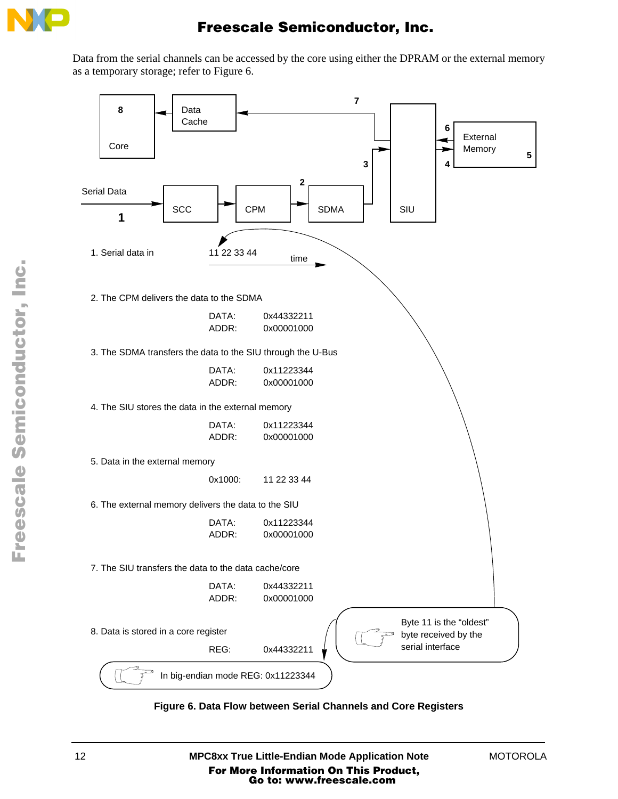

Data from the serial channels can be accessed by the core using either the DPRAM or the external memory as a temporary storage; refer to Figure 6.



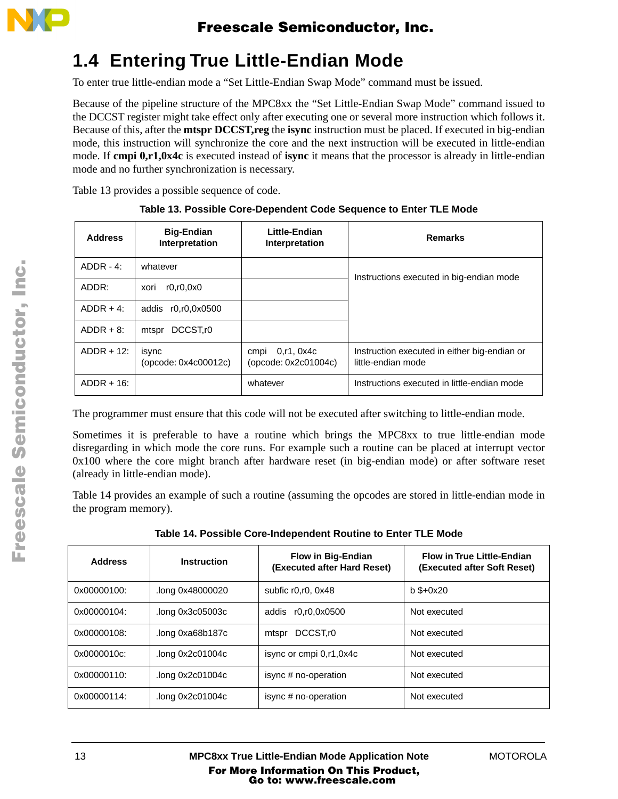

## **1.4 Entering True Little-Endian Mode**

To enter true little-endian mode a "Set Little-Endian Swap Mode" command must be issued.

Because of the pipeline structure of the MPC8xx the "Set Little-Endian Swap Mode" command issued to the DCCST register might take effect only after executing one or several more instruction which follows it. Because of this, after the **mtspr DCCST,reg** the **isync** instruction must be placed. If executed in big-endian mode, this instruction will synchronize the core and the next instruction will be executed in little-endian mode. If **cmpi 0,r1,0x4c** is executed instead of **isync** it means that the processor is already in little-endian mode and no further synchronization is necessary.

Table 13 provides a possible sequence of code.

| <b>Address</b> | <b>Big-Endian</b><br>Interpretation | Little-Endian<br>Interpretation             | <b>Remarks</b>                                                     |
|----------------|-------------------------------------|---------------------------------------------|--------------------------------------------------------------------|
| $ADDR - 4$ :   | whatever                            |                                             | Instructions executed in big-endian mode                           |
| ADDR:          | r0.r0,0x0<br>xori                   |                                             |                                                                    |
| $ADDR + 4$ :   | addis r0,r0,0x0500                  |                                             |                                                                    |
| $ADDR + 8$ :   | DCCST <sub>r0</sub><br>mtspr        |                                             |                                                                    |
| $ADDR + 12$ :  | isync<br>(opcode: 0x4c00012c)       | 0, r1, 0x4c<br>cmpi<br>(opcode: 0x2c01004c) | Instruction executed in either big-endian or<br>little-endian mode |
| $ADDR + 16$ :  |                                     | whatever                                    | Instructions executed in little-endian mode                        |

|  |  |  | Table 13. Possible Core-Dependent Code Sequence to Enter TLE Mode |  |  |
|--|--|--|-------------------------------------------------------------------|--|--|
|--|--|--|-------------------------------------------------------------------|--|--|

The programmer must ensure that this code will not be executed after switching to little-endian mode.

Sometimes it is preferable to have a routine which brings the MPC8xx to true little-endian mode disregarding in which mode the core runs. For example such a routine can be placed at interrupt vector 0x100 where the core might branch after hardware reset (in big-endian mode) or after software reset (already in little-endian mode).

Table 14 provides an example of such a routine (assuming the opcodes are stored in little-endian mode in the program memory).

| <b>Address</b> | Instruction      | <b>Flow in Big-Endian</b><br>(Executed after Hard Reset) | <b>Flow in True Little-Endian</b><br>(Executed after Soft Reset) |
|----------------|------------------|----------------------------------------------------------|------------------------------------------------------------------|
| 0x00000100:    | long 0x48000020. | subfic $r0.r0.0x48$                                      | $b$ \$+0 $x20$                                                   |
| 0x00000104:    | .long 0x3c05003c | r0.r0.0x0500<br>addis                                    | Not executed                                                     |
| 0x00000108:    | .long 0xa68b187c | DCCST <sub>r0</sub><br>mtspr                             | Not executed                                                     |
| 0x0000010c:    | .long 0x2c01004c | isync or cmpi 0,r1,0x4c                                  | Not executed                                                     |
| 0x00000110:    | .long 0x2c01004c | isync # no-operation                                     | Not executed                                                     |
| 0x00000114:    | .long 0x2c01004c | isync # no-operation                                     | Not executed                                                     |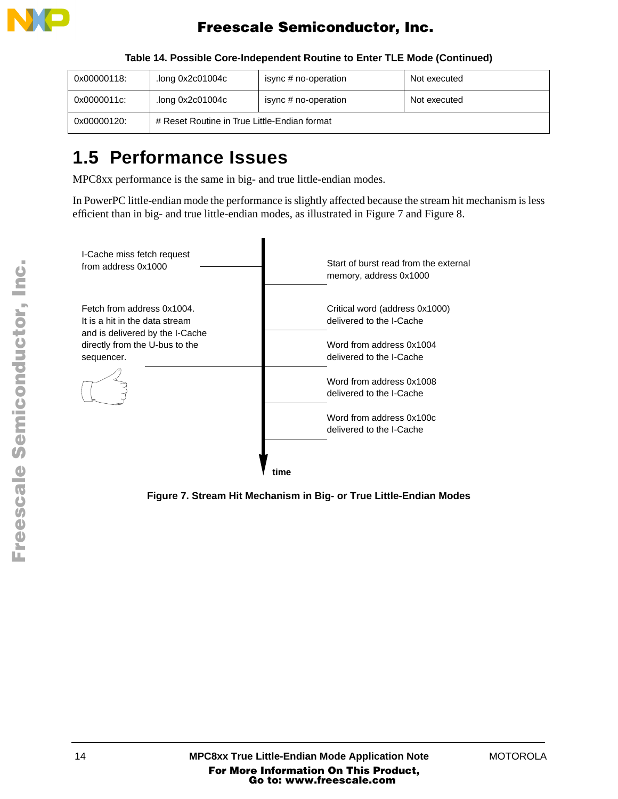

| 0x00000118: | .long 0x2c01004c                             | isync # no-operation | Not executed |
|-------------|----------------------------------------------|----------------------|--------------|
| 0x0000011c: | .long 0x2c01004c                             | isync # no-operation | Not executed |
| 0x00000120: | # Reset Routine in True Little-Endian format |                      |              |

**Table 14. Possible Core-Independent Routine to Enter TLE Mode (Continued)**

## **1.5 Performance Issues**

MPC8xx performance is the same in big- and true little-endian modes.

In PowerPC little-endian mode the performance is slightly affected because the stream hit mechanism is less efficient than in big- and true little-endian modes, as illustrated in Figure 7 and Figure 8.



**Figure 7. Stream Hit Mechanism in Big- or True Little-Endian Modes**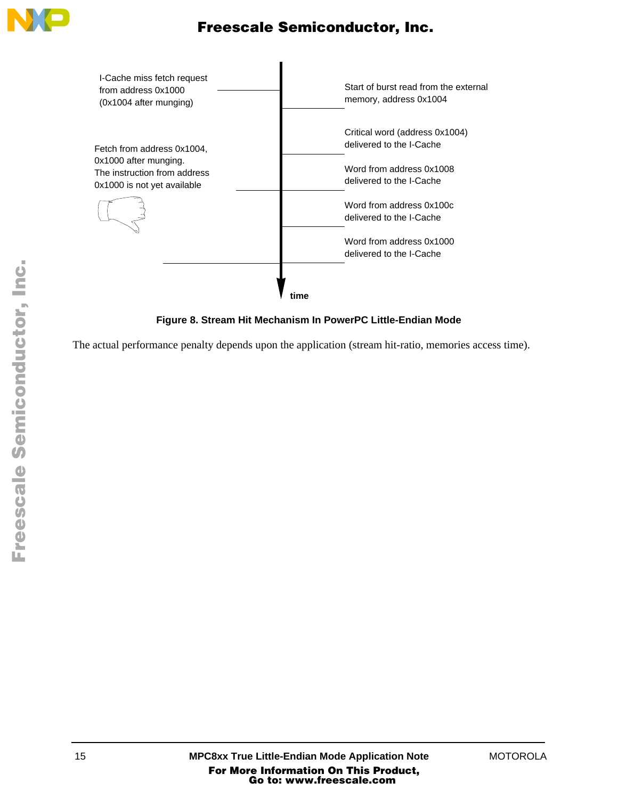



**Figure 8. Stream Hit Mechanism In PowerPC Little-Endian Mode**

The actual performance penalty depends upon the application (stream hit-ratio, memories access time).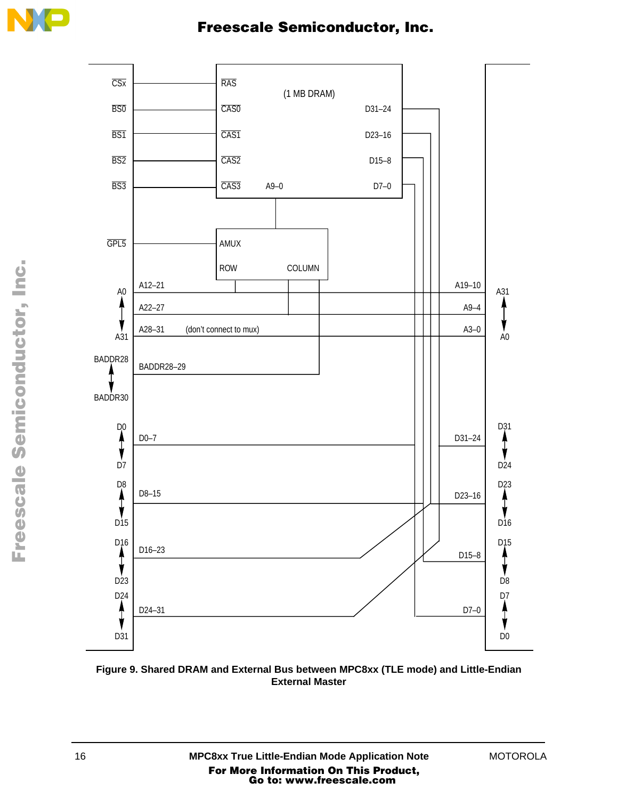



**Figure 9. Shared DRAM and External Bus between MPC8xx (TLE mode) and Little-Endian External Master**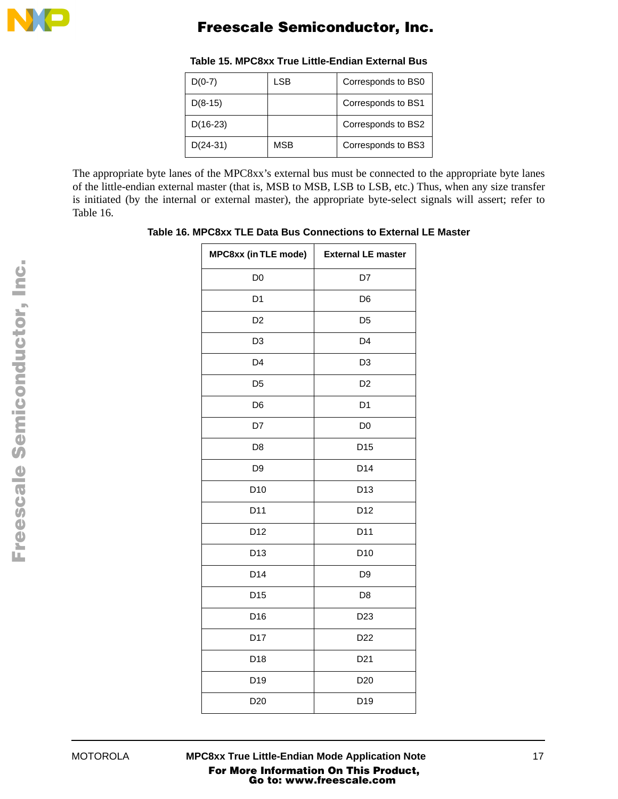

| $D(0-7)$   | LSB        | Corresponds to BS0 |
|------------|------------|--------------------|
| $D(8-15)$  |            | Corresponds to BS1 |
| $D(16-23)$ |            | Corresponds to BS2 |
| $D(24-31)$ | <b>MSB</b> | Corresponds to BS3 |

#### **Table 15. MPC8xx True Little-Endian External Bus**

The appropriate byte lanes of the MPC8xx's external bus must be connected to the appropriate byte lanes of the little-endian external master (that is, MSB to MSB, LSB to LSB, etc.) Thus, when any size transfer is initiated (by the internal or external master), the appropriate byte-select signals will assert; refer to Table 16.

**Table 16. MPC8xx TLE Data Bus Connections to External LE Master** 

| MPC8xx (in TLE mode) | <b>External LE master</b> |
|----------------------|---------------------------|
| D <sub>0</sub>       | D7                        |
| D <sub>1</sub>       | D <sub>6</sub>            |
| D <sub>2</sub>       | D <sub>5</sub>            |
| D <sub>3</sub>       | D <sub>4</sub>            |
| D <sub>4</sub>       | D <sub>3</sub>            |
| D <sub>5</sub>       | D <sub>2</sub>            |
| D <sub>6</sub>       | D <sub>1</sub>            |
| D7                   | D <sub>0</sub>            |
| D <sub>8</sub>       | D <sub>15</sub>           |
| D <sub>9</sub>       | D14                       |
| D <sub>10</sub>      | D <sub>13</sub>           |
| D11                  | D <sub>12</sub>           |
| D12                  | D11                       |
| D <sub>13</sub>      | D <sub>10</sub>           |
| D14                  | D <sub>9</sub>            |
| D <sub>15</sub>      | D <sub>8</sub>            |
| D16                  | D <sub>23</sub>           |
| D17                  | D <sub>22</sub>           |
| D18                  | D <sub>21</sub>           |
| D19                  | D <sub>20</sub>           |
| D <sub>20</sub>      | D <sub>19</sub>           |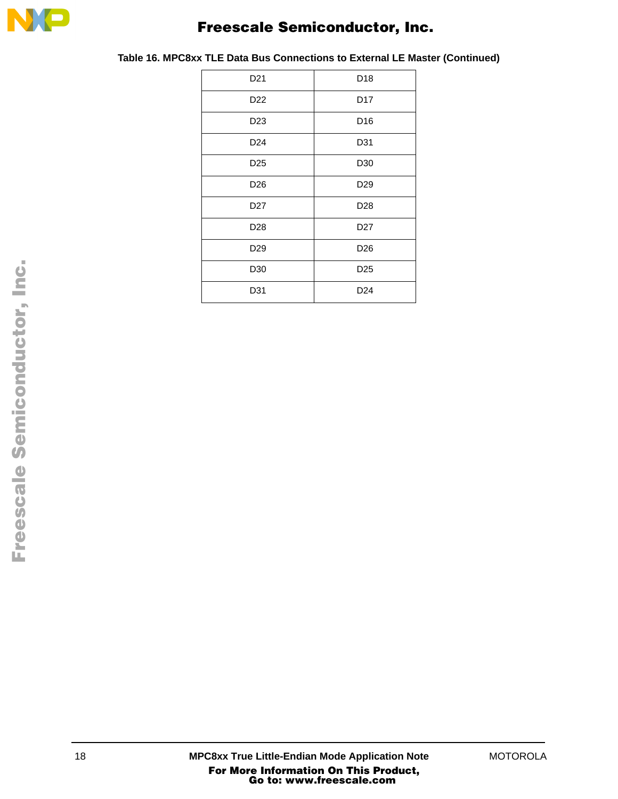

| D <sub>21</sub> | D <sub>18</sub> |
|-----------------|-----------------|
| D <sub>22</sub> | D <sub>17</sub> |
| D <sub>23</sub> | D <sub>16</sub> |
| D <sub>24</sub> | D31             |
| D <sub>25</sub> | D30             |
| D <sub>26</sub> | D <sub>29</sub> |
| D <sub>27</sub> | D <sub>28</sub> |
| D <sub>28</sub> | D <sub>27</sub> |
| D <sub>29</sub> | D <sub>26</sub> |
| D30             | D <sub>25</sub> |
| D31             | D <sub>24</sub> |

**Table 16. MPC8xx TLE Data Bus Connections to External LE Master (Continued)**